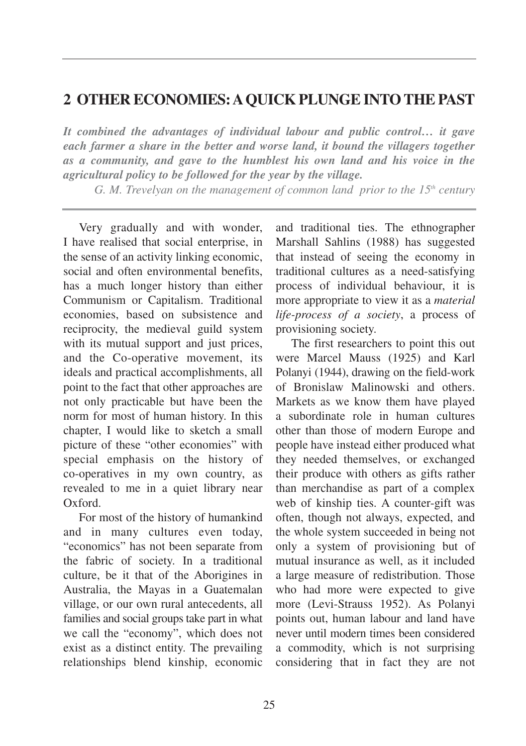## **2 OTHER ECONOMIES: AQUICK PLUNGE INTO THE PAST**

*It combined the advantages of individual labour and public control… it gave each farmer a share in the better and worse land, it bound the villagers together as a community, and gave to the humblest his own land and his voice in the agricultural policy to be followed for the year by the village.*

*G. M. Trevelyan on the management of common land prior to the 15<sup>th</sup> century* 

Very gradually and with wonder, I have realised that social enterprise, in the sense of an activity linking economic, social and often environmental benefits, has a much longer history than either Communism or Capitalism. Traditional economies, based on subsistence and reciprocity, the medieval guild system with its mutual support and just prices, and the Co-operative movement, its ideals and practical accomplishments, all point to the fact that other approaches are not only practicable but have been the norm for most of human history. In this chapter, I would like to sketch a small picture of these "other economies" with special emphasis on the history of co-operatives in my own country, as revealed to me in a quiet library near Oxford.

For most of the history of humankind and in many cultures even today, "economics" has not been separate from the fabric of society. In a traditional culture, be it that of the Aborigines in Australia, the Mayas in a Guatemalan village, or our own rural antecedents, all families and social groups take part in what we call the "economy", which does not exist as a distinct entity. The prevailing relationships blend kinship, economic and traditional ties. The ethnographer Marshall Sahlins (1988) has suggested that instead of seeing the economy in traditional cultures as a need-satisfying process of individual behaviour, it is more appropriate to view it as a *material life-process of a society*, a process of provisioning society.

The first researchers to point this out were Marcel Mauss (1925) and Karl Polanyi (1944), drawing on the field-work of Bronislaw Malinowski and others. Markets as we know them have played a subordinate role in human cultures other than those of modern Europe and people have instead either produced what they needed themselves, or exchanged their produce with others as gifts rather than merchandise as part of a complex web of kinship ties. A counter-gift was often, though not always, expected, and the whole system succeeded in being not only a system of provisioning but of mutual insurance as well, as it included a large measure of redistribution. Those who had more were expected to give more (Levi-Strauss 1952). As Polanyi points out, human labour and land have never until modern times been considered a commodity, which is not surprising considering that in fact they are not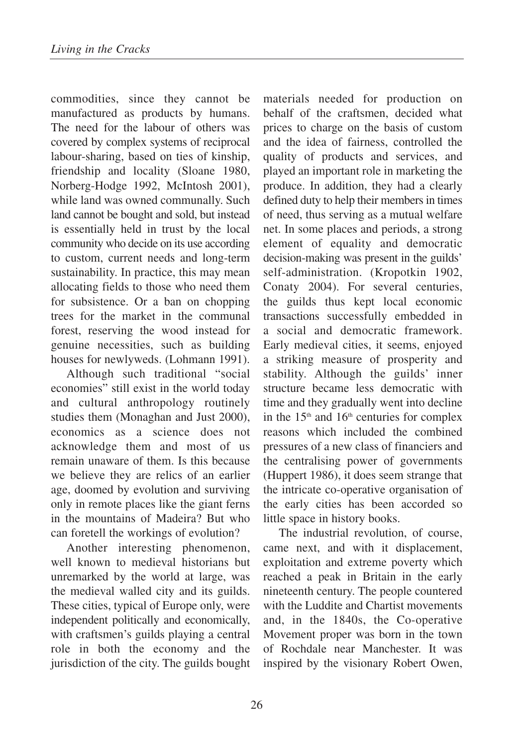commodities, since they cannot be manufactured as products by humans. The need for the labour of others was covered by complex systems of reciprocal labour-sharing, based on ties of kinship, friendship and locality (Sloane 1980, Norberg-Hodge 1992, McIntosh 2001), while land was owned communally. Such land cannot be bought and sold, but instead is essentially held in trust by the local community who decide on its use according to custom, current needs and long-term sustainability. In practice, this may mean allocating fields to those who need them for subsistence. Or a ban on chopping trees for the market in the communal forest, reserving the wood instead for genuine necessities, such as building houses for newlyweds. (Lohmann 1991).

Although such traditional "social economies" still exist in the world today and cultural anthropology routinely studies them (Monaghan and Just 2000), economics as a science does not acknowledge them and most of us remain unaware of them. Is this because we believe they are relics of an earlier age, doomed by evolution and surviving only in remote places like the giant ferns in the mountains of Madeira? But who can foretell the workings of evolution?

Another interesting phenomenon, well known to medieval historians but unremarked by the world at large, was the medieval walled city and its guilds. These cities, typical of Europe only, were independent politically and economically, with craftsmen's guilds playing a central role in both the economy and the jurisdiction of the city. The guilds bought materials needed for production on behalf of the craftsmen, decided what prices to charge on the basis of custom and the idea of fairness, controlled the quality of products and services, and played an important role in marketing the produce. In addition, they had a clearly defined duty to help their members in times of need, thus serving as a mutual welfare net. In some places and periods, a strong element of equality and democratic decision-making was present in the guilds' self-administration. (Kropotkin 1902, Conaty 2004). For several centuries, the guilds thus kept local economic transactions successfully embedded in a social and democratic framework. Early medieval cities, it seems, enjoyed a striking measure of prosperity and stability. Although the guilds' inner structure became less democratic with time and they gradually went into decline in the  $15<sup>th</sup>$  and  $16<sup>th</sup>$  centuries for complex reasons which included the combined pressures of a new class of financiers and the centralising power of governments (Huppert 1986), it does seem strange that the intricate co-operative organisation of the early cities has been accorded so little space in history books.

The industrial revolution, of course, came next, and with it displacement, exploitation and extreme poverty which reached a peak in Britain in the early nineteenth century. The people countered with the Luddite and Chartist movements and, in the 1840s, the Co-operative Movement proper was born in the town of Rochdale near Manchester. It was inspired by the visionary Robert Owen,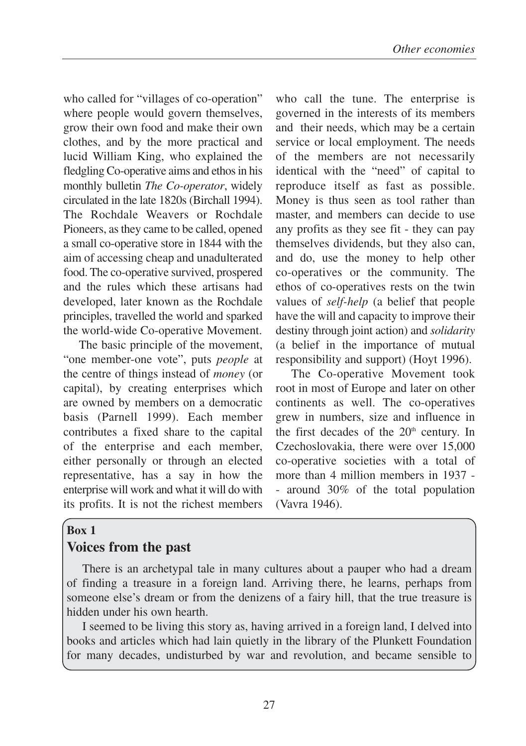who called for "villages of co-operation" where people would govern themselves, grow their own food and make their own clothes, and by the more practical and lucid William King, who explained the fledgling Co-operative aims and ethos in his monthly bulletin *The Co-operator*, widely circulated in the late 1820s (Birchall 1994). The Rochdale Weavers or Rochdale Pioneers, as they came to be called, opened a small co-operative store in 1844 with the aim of accessing cheap and unadulterated food. The co-operative survived, prospered and the rules which these artisans had developed, later known as the Rochdale principles, travelled the world and sparked the world-wide Co-operative Movement.

The basic principle of the movement, "one member-one vote", puts *people* at the centre of things instead of *money* (or capital), by creating enterprises which are owned by members on a democratic basis (Parnell 1999). Each member contributes a fixed share to the capital of the enterprise and each member, either personally or through an elected representative, has a say in how the enterprise will work and what it will do with its profits. It is not the richest members

who call the tune. The enterprise is governed in the interests of its members and their needs, which may be a certain service or local employment. The needs of the members are not necessarily identical with the "need" of capital to reproduce itself as fast as possible. Money is thus seen as tool rather than master, and members can decide to use any profits as they see fit - they can pay themselves dividends, but they also can, and do, use the money to help other co-operatives or the community. The ethos of co-operatives rests on the twin values of *self-help* (a belief that people have the will and capacity to improve their destiny through joint action) and *solidarity* (a belief in the importance of mutual responsibility and support) (Hoyt 1996).

The Co-operative Movement took root in most of Europe and later on other continents as well. The co-operatives grew in numbers, size and influence in the first decades of the  $20<sup>th</sup>$  century. In Czechoslovakia, there were over 15,000 co-operative societies with a total of more than 4 million members in 1937 - - around 30% of the total population (Vavra 1946).

## **Box 1 Voices from the past**

There is an archetypal tale in many cultures about a pauper who had a dream of finding a treasure in a foreign land. Arriving there, he learns, perhaps from someone else's dream or from the denizens of a fairy hill, that the true treasure is hidden under his own hearth.

I seemed to be living this story as, having arrived in a foreign land, I delved into books and articles which had lain quietly in the library of the Plunkett Foundation for many decades, undisturbed by war and revolution, and became sensible to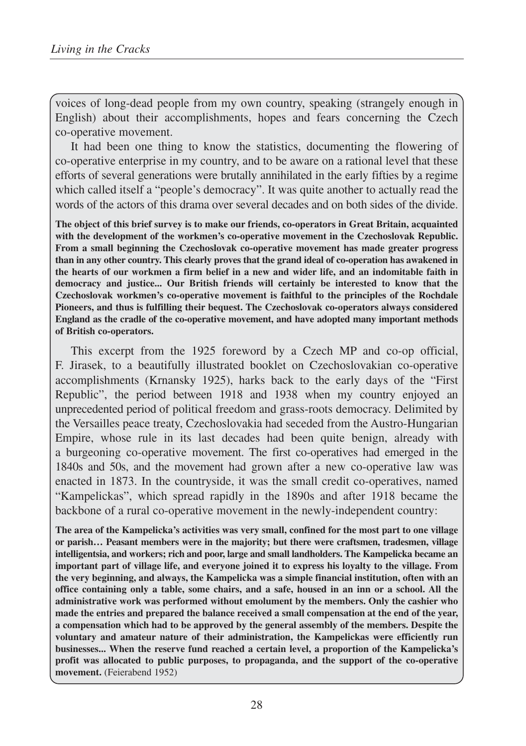voices of long-dead people from my own country, speaking (strangely enough in English) about their accomplishments, hopes and fears concerning the Czech co-operative movement.

It had been one thing to know the statistics, documenting the flowering of co-operative enterprise in my country, and to be aware on a rational level that these efforts of several generations were brutally annihilated in the early fifties by a regime which called itself a "people's democracy". It was quite another to actually read the words of the actors of this drama over several decades and on both sides of the divide.

**The object of this brief survey is to make our friends, co-operators in Great Britain, acquainted with the development of the workmen's co-operative movement in the Czechoslovak Republic. From a small beginning the Czechoslovak co-operative movement has made greater progress than in any other country. This clearly proves that the grand ideal of co-operation has awakened in the hearts of our workmen a firm belief in a new and wider life, and an indomitable faith in democracy and justice... Our British friends will certainly be interested to know that the Czechoslovak workmen's co-operative movement is faithful to the principles of the Rochdale Pioneers, and thus is fulfilling their bequest. The Czechoslovak co-operators always considered England as the cradle of the co-operative movement, and have adopted many important methods of British co-operators.** 

This excerpt from the 1925 foreword by a Czech MP and co-op official, F. Jirasek, to a beautifully illustrated booklet on Czechoslovakian co-operative accomplishments (Krnansky 1925), harks back to the early days of the "First Republic", the period between 1918 and 1938 when my country enjoyed an unprecedented period of political freedom and grass-roots democracy. Delimited by the Versailles peace treaty, Czechoslovakia had seceded from the Austro-Hungarian Empire, whose rule in its last decades had been quite benign, already with a burgeoning co-operative movement. The first co-operatives had emerged in the 1840s and 50s, and the movement had grown after a new co-operative law was enacted in 1873. In the countryside, it was the small credit co-operatives, named "Kampelickas", which spread rapidly in the 1890s and after 1918 became the backbone of a rural co-operative movement in the newly-independent country:

**The area of the Kampelicka's activities was very small, confined for the most part to one village or parish… Peasant members were in the majority; but there were craftsmen, tradesmen, village intelligentsia, and workers; rich and poor, large and small landholders. The Kampelicka became an important part of village life, and everyone joined it to express his loyalty to the village. From the very beginning, and always, the Kampelicka was a simple financial institution, often with an office containing only a table, some chairs, and a safe, housed in an inn or a school. All the administrative work was performed without emolument by the members. Only the cashier who made the entries and prepared the balance received a small compensation at the end of the year, a compensation which had to be approved by the general assembly of the members. Despite the voluntary and amateur nature of their administration, the Kampelickas were efficiently run businesses... When the reserve fund reached a certain level, a proportion of the Kampelicka's profit was allocated to public purposes, to propaganda, and the support of the co-operative movement.** (Feierabend 1952)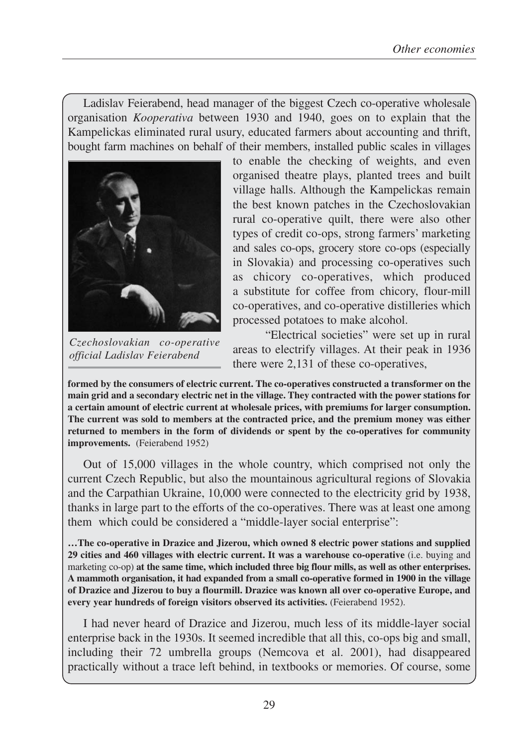Ladislav Feierabend, head manager of the biggest Czech co-operative wholesale organisation *Kooperativa* between 1930 and 1940, goes on to explain that the Kampelickas eliminated rural usury, educated farmers about accounting and thrift, bought farm machines on behalf of their members, installed public scales in villages



*Czechoslovakian co-operative official Ladislav Feierabend*

to enable the checking of weights, and even organised theatre plays, planted trees and built village halls. Although the Kampelickas remain the best known patches in the Czechoslovakian rural co-operative quilt, there were also other types of credit co-ops, strong farmers' marketing and sales co-ops, grocery store co-ops (especially in Slovakia) and processing co-operatives such as chicory co-operatives, which produced a substitute for coffee from chicory, flour-mill co-operatives, and co-operative distilleries which processed potatoes to make alcohol.

"Electrical societies" were set up in rural areas to electrify villages. At their peak in 1936 there were 2,131 of these co-operatives,

**formed by the consumers of electric current. The co-operatives constructed a transformer on the main grid and a secondary electric net in the village. They contracted with the power stations for a certain amount of electric current at wholesale prices, with premiums for larger consumption. The current was sold to members at the contracted price, and the premium money was either returned to members in the form of dividends or spent by the co-operatives for community improvements.** (Feierabend 1952)

Out of 15,000 villages in the whole country, which comprised not only the current Czech Republic, but also the mountainous agricultural regions of Slovakia and the Carpathian Ukraine, 10,000 were connected to the electricity grid by 1938, thanks in large part to the efforts of the co-operatives. There was at least one among them which could be considered a "middle-layer social enterprise":

**…The co-operative in Drazice and Jizerou, which owned 8 electric power stations and supplied 29 cities and 460 villages with electric current. It was a warehouse co-operative** (i.e. buying and marketing co-op) **at the same time, which included three big flour mills, as well as other enterprises. A mammoth organisation, it had expanded from a small co-operative formed in 1900 in the village of Drazice and Jizerou to buy a flourmill. Drazice was known all over co-operative Europe, and every year hundreds of foreign visitors observed its activities.** (Feierabend 1952).

I had never heard of Drazice and Jizerou, much less of its middle-layer social enterprise back in the 1930s. It seemed incredible that all this, co-ops big and small, including their 72 umbrella groups (Nemcova et al. 2001), had disappeared practically without a trace left behind, in textbooks or memories. Of course, some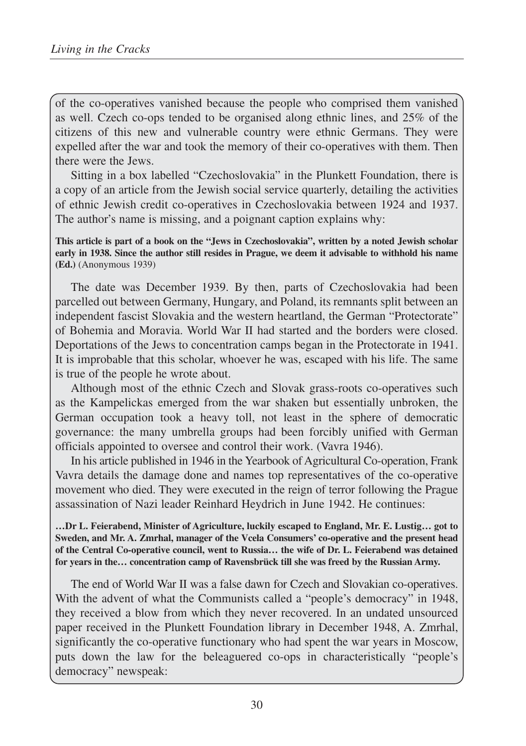of the co-operatives vanished because the people who comprised them vanished as well. Czech co-ops tended to be organised along ethnic lines, and 25% of the citizens of this new and vulnerable country were ethnic Germans. They were expelled after the war and took the memory of their co-operatives with them. Then there were the Jews.

Sitting in a box labelled "Czechoslovakia" in the Plunkett Foundation, there is a copy of an article from the Jewish social service quarterly, detailing the activities of ethnic Jewish credit co-operatives in Czechoslovakia between 1924 and 1937. The author's name is missing, and a poignant caption explains why:

**This article is part of a book on the "Jews in Czechoslovakia", written by a noted Jewish scholar early in 1938. Since the author still resides in Prague, we deem it advisable to withhold his name (Ed.)** (Anonymous 1939)

The date was December 1939. By then, parts of Czechoslovakia had been parcelled out between Germany, Hungary, and Poland, its remnants split between an independent fascist Slovakia and the western heartland, the German "Protectorate" of Bohemia and Moravia. World War II had started and the borders were closed. Deportations of the Jews to concentration camps began in the Protectorate in 1941. It is improbable that this scholar, whoever he was, escaped with his life. The same is true of the people he wrote about.

Although most of the ethnic Czech and Slovak grass-roots co-operatives such as the Kampelickas emerged from the war shaken but essentially unbroken, the German occupation took a heavy toll, not least in the sphere of democratic governance: the many umbrella groups had been forcibly unified with German officials appointed to oversee and control their work. (Vavra 1946).

In his article published in 1946 in the Yearbook of Agricultural Co-operation, Frank Vavra details the damage done and names top representatives of the co-operative movement who died. They were executed in the reign of terror following the Prague assassination of Nazi leader Reinhard Heydrich in June 1942. He continues:

**…Dr L. Feierabend, Minister of Agriculture, luckily escaped to England, Mr. E. Lustig… got to Sweden, and Mr. A. Zmrhal, manager of the Vcela Consumers' co-operative and the present head of the Central Co-operative council, went to Russia… the wife of Dr. L. Feierabend was detained for years in the… concentration camp of Ravensbrück till she was freed by the Russian Army.**

The end of World War II was a false dawn for Czech and Slovakian co-operatives. With the advent of what the Communists called a "people's democracy" in 1948, they received a blow from which they never recovered. In an undated unsourced paper received in the Plunkett Foundation library in December 1948, A. Zmrhal, significantly the co-operative functionary who had spent the war years in Moscow, puts down the law for the beleaguered co-ops in characteristically "people's democracy" newspeak: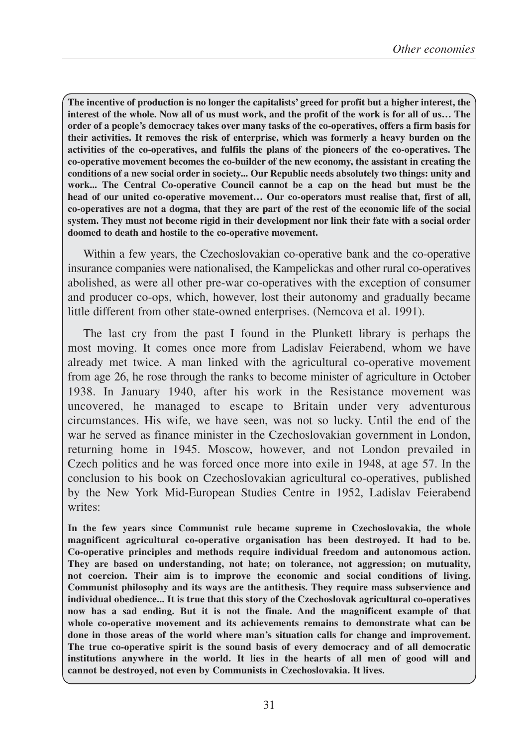**The incentive of production is no longer the capitalists' greed for profit but a higher interest, the interest of the whole. Now all of us must work, and the profit of the work is for all of us… The order of a people's democracy takes over many tasks of the co-operatives, offers a firm basis for their activities. It removes the risk of enterprise, which was formerly a heavy burden on the activities of the co-operatives, and fulfils the plans of the pioneers of the co-operatives. The co-operative movement becomes the co-builder of the new economy, the assistant in creating the conditions of a new social order in society... Our Republic needs absolutely two things: unity and work... The Central Co-operative Council cannot be a cap on the head but must be the head of our united co-operative movement… Our co-operators must realise that, first of all, co-operatives are not a dogma, that they are part of the rest of the economic life of the social system. They must not become rigid in their development nor link their fate with a social order doomed to death and hostile to the co-operative movement.**

Within a few years, the Czechoslovakian co-operative bank and the co-operative insurance companies were nationalised, the Kampelickas and other rural co-operatives abolished, as were all other pre-war co-operatives with the exception of consumer and producer co-ops, which, however, lost their autonomy and gradually became little different from other state-owned enterprises. (Nemcova et al. 1991).

The last cry from the past I found in the Plunkett library is perhaps the most moving. It comes once more from Ladislav Feierabend, whom we have already met twice. A man linked with the agricultural co-operative movement from age 26, he rose through the ranks to become minister of agriculture in October 1938. In January 1940, after his work in the Resistance movement was uncovered, he managed to escape to Britain under very adventurous circumstances. His wife, we have seen, was not so lucky. Until the end of the war he served as finance minister in the Czechoslovakian government in London, returning home in 1945. Moscow, however, and not London prevailed in Czech politics and he was forced once more into exile in 1948, at age 57. In the conclusion to his book on Czechoslovakian agricultural co-operatives, published by the New York Mid-European Studies Centre in 1952, Ladislav Feierabend writes:

**In the few years since Communist rule became supreme in Czechoslovakia, the whole magnificent agricultural co-operative organisation has been destroyed. It had to be. Co-operative principles and methods require individual freedom and autonomous action. They are based on understanding, not hate; on tolerance, not aggression; on mutuality, not coercion. Their aim is to improve the economic and social conditions of living. Communist philosophy and its ways are the antithesis. They require mass subservience and individual obedience... It is true that this story of the Czechoslovak agricultural co-operatives now has a sad ending. But it is not the finale. And the magnificent example of that whole co-operative movement and its achievements remains to demonstrate what can be done in those areas of the world where man's situation calls for change and improvement. The true co-operative spirit is the sound basis of every democracy and of all democratic institutions anywhere in the world. It lies in the hearts of all men of good will and cannot be destroyed, not even by Communists in Czechoslovakia. It lives.**